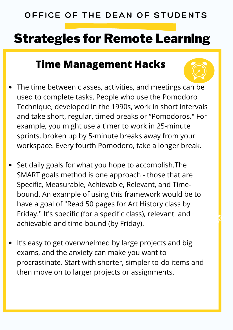#### OFFICE OF THE DEAN OF STUDENTS

### Strategies for Remote Learning

#### **Time Management Hacks**

- The time between classes, activities, and meetings can be used to complete tasks. People who use the Pomodoro Technique, developed in the 1990s, work in short intervals and take short, regular, timed breaks or "Pomodoros." For example, you might use a timer to work in 25-minute sprints, broken up by 5-minute breaks away from your workspace. Every fourth Pomodoro, take a longer break.
- Set daily goals for what you hope to accomplish.The SMART goals method is one approach - those that are Specific, Measurable, Achievable, Relevant, and Timebound. An example of using this framework would be to have a goal of "Read 50 pages for Art History class by Friday." It's specific (for a specific class), relevant and achievable and time-bound (by Friday).
- It's easy to get overwhelmed by large projects and big exams, and the anxiety can make you want to procrastinate. Start with shorter, simpler to-do items and then move on to larger projects or assignments.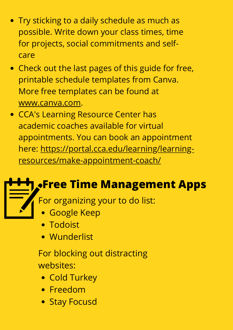- Try sticking to a daily schedule as much as possible. Write down your class times, time for projects, social commitments and selfcare
- Check out the last pages of this guide for free, printable schedule templates from Canva. More free templates can be found at [www.canva.com.](http://www.canva.com/)
- CCA's Learning Resource Center has academic coaches available for virtual appointments. You can book an appointment [here: https://portal.cca.edu/learning/learning](https://portal.cca.edu/learning/learning-resources/make-appointment-coach/)resources/make-appointment-coach/

## **Free Time Management Apps**

For organizing your to do list:

- Google Keep
- Todoist
- Wunderlist

For blocking out distracting websites:

- Cold Turkey
- Freedom
- Stay Focusd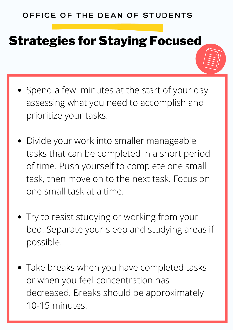# Strategies for Staying Focused

- Spend a few minutes at the start of your day assessing what you need to accomplish and prioritize your tasks.
- Divide your work into smaller manageable tasks that can be completed in a short period of time. Push yourself to complete one small task, then move on to the next task. Focus on one small task at a time.
- Try to resist studying or working from your bed. Separate your sleep and studying areas if possible.
- Take breaks when you have completed tasks or when you feel concentration has decreased. Breaks should be approximately 10-15 minutes.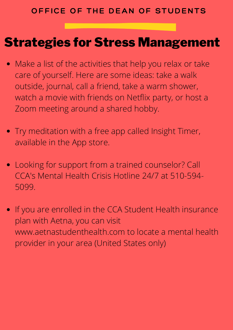#### Strategies for Stress Management

- Make a list of the activities that help you relax or take care of yourself. Here are some ideas: take a walk outside, journal, call a friend, take a warm shower, watch a movie with friends on Netflix party, or host a Zoom meeting around a shared hobby.
- Try meditation with a free app called Insight Timer, available in the App store.
- Looking for support from a trained counselor? Call CCA's Mental Health Crisis Hotline 24/7 at 510-594- 5099.
- If you are enrolled in the CCA Student Health insurance plan with Aetna, you can visit www.aetnastudenthealth.com to locate a mental health provider in your area (United States only)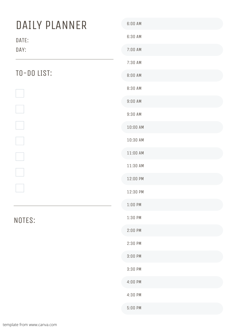| DAILY PLANNER | 6:00 AM    |
|---------------|------------|
| DATE:         | 6:30 AM    |
| DAY:          | 7:00 AM    |
|               | 7:30 AM    |
| TO-DO LIST:   | $8:00$ AM  |
|               | 8:30 AM    |
|               | $9:00$ AM  |
|               | 9:30 AM    |
|               | 10:00 AM   |
|               | 10:30 AM   |
|               | $11:00$ AM |
|               | 11:30 AM   |
|               | 12:00 PM   |
|               | 12:30 PM   |
|               | $1:00$ PM  |
| NOTES:        | 1:30 PM    |
|               | $2:00$ PM  |
|               | $2:30$ PM  |
|               | $3:00$ PM  |
|               | 3:30 PM    |
|               | $4:00$ PM  |
|               | 4:30 PM    |
|               | $5:00$ PM  |